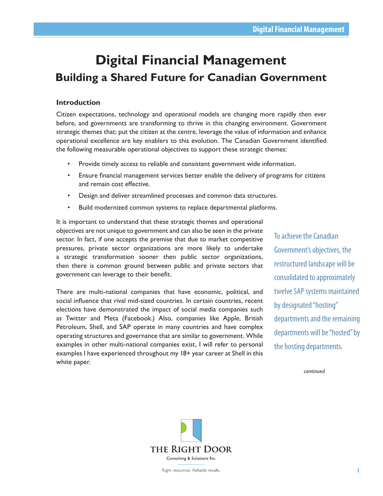# **Digital Financial Management Building a Shared Future for Canadian Government**

## **Introduction**

Citizen expectations, technology and operational models are changing more rapidly then ever before, and governments are transforming to thrive in this changing environment. Government strategic themes that; put the citizen at the centre, leverage the value of information and enhance operational excellence are key enablers to this evolution. The Canadian Government identified the following measurable operational objectives to support these strategic themes:

- Provide timely access to reliable and consistent government wide information.
- Ensure financial management services better enable the delivery of programs for citizens and remain cost effective.
- Design and deliver streamlined processes and common data structures.
- Build modernized common systems to replace departmental platforms.

It is important to understand that these strategic themes and operational objectives are not unique to government and can also be seen in the private sector. In fact, if one accepts the premise that due to market competitive pressures, private sector organizations are more likely to undertake a strategic transformation sooner then public sector organizations, then there is common ground between public and private sectors that government can leverage to their benefit.

There are multi-national companies that have economic, political, and social influence that rival mid-sized countries. In certain countries, recent elections have demonstrated the impact of social media companies such as Twitter and Meta (Facebook.) Also, companies like Apple, British Petroleum, Shell, and SAP operate in many countries and have complex operating structures and governance that are similar to government. While examples in other multi-national companies exist, I will refer to personal examples I have experienced throughout my 18+ year career at Shell in this white paper.

To achieve the Canadian Government's objectives, the restructured landscape will be consolidated to approximately twelve SAP systems maintained by designated "hosting" departments and the remaining departments will be "hosted" by the hosting departments.

*continued*



Right resources. Reliable results.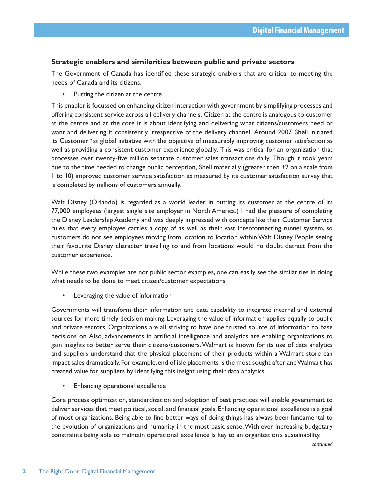### **Strategic enablers and similarities between public and private sectors**

The Government of Canada has identified these strategic enablers that are critical to meeting the needs of Canada and its citizens.

• Putting the citizen at the centre

This enabler is focussed on enhancing citizen interaction with government by simplifying processes and offering consistent service across all delivery channels. Citizen at the centre is analogous to customer at the centre and at the core it is about identifying and delivering what citizens/customers need or want and delivering it consistently irrespective of the delivery channel. Around 2007, Shell initiated its Customer 1st global initiative with the objective of measurably improving customer satisfaction as well as providing a consistent customer experience globally. This was critical for an organization that processes over twenty-five million separate customer sales transactions daily. Though it took years due to the time needed to change public perception, Shell materially (greater then +2 on a scale from 1 to 10) improved customer service satisfaction as measured by its customer satisfaction survey that is completed by millions of customers annually.

Walt Disney (Orlando) is regarded as a world leader in putting its customer at the centre of its 77,000 employees (largest single site employer in North America.) I had the pleasure of completing the Disney Leadership Academy and was deeply impressed with concepts like their Customer Service rules that every employee carries a copy of as well as their vast interconnecting tunnel system, so customers do not see employees moving from location to location within Walt Disney. People seeing their favourite Disney character travelling to and from locations would no doubt detract from the customer experience.

While these two examples are not public sector examples, one can easily see the similarities in doing what needs to be done to meet citizen/customer expectations.

• Leveraging the value of information

Governments will transform their information and data capability to integrate internal and external sources for more timely decision making. Leveraging the value of information applies equally to public and private sectors. Organizations are all striving to have one trusted source of information to base decisions on. Also, advancements in artificial intelligence and analytics are enabling organizations to gain insights to better serve their citizens/customers. Walmart is known for its use of data analytics and suppliers understand that the physical placement of their products within a Walmart store can impact sales dramatically. For example, end of isle placements is the most sought after and Walmart has created value for suppliers by identifying this insight using their data analytics.

• Enhancing operational excellence

Core process optimization, standardization and adoption of best practices will enable government to deliver services that meet political, social, and financial goals. Enhancing operational excellence is a goal of most organizations. Being able to find better ways of doing things has always been fundamental to the evolution of organizations and humanity in the most basic sense. With ever increasing budgetary constraints being able to maintain operational excellence is key to an organization's sustainability.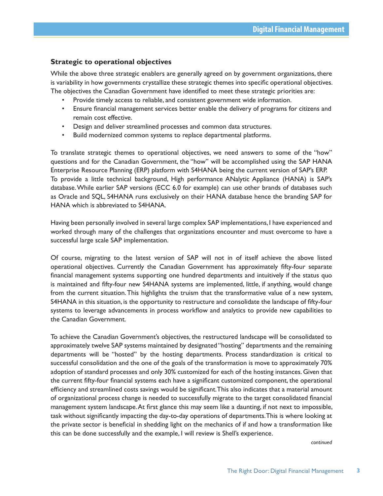#### **Strategic to operational objectives**

While the above three strategic enablers are generally agreed on by government organizations, there is variability in how governments crystallize these strategic themes into specific operational objectives. The objectives the Canadian Government have identified to meet these strategic priorities are:

- Provide timely access to reliable, and consistent government wide information.
- Ensure financial management services better enable the delivery of programs for citizens and remain cost effective.
- Design and deliver streamlined processes and common data structures.
- Build modernized common systems to replace departmental platforms.

To translate strategic themes to operational objectives, we need answers to some of the "how" questions and for the Canadian Government, the "how" will be accomplished using the SAP HANA Enterprise Resource Planning (ERP) platform with S4HANA being the current version of SAP's ERP. To provide a little technical background, High performance ANalytic Appliance (HANA) is SAP's database. While earlier SAP versions (ECC 6.0 for example) can use other brands of databases such as Oracle and SQL, S4HANA runs exclusively on their HANA database hence the branding SAP for HANA which is abbreviated to S4HANA.

Having been personally involved in several large complex SAP implementations, I have experienced and worked through many of the challenges that organizations encounter and must overcome to have a successful large scale SAP implementation.

Of course, migrating to the latest version of SAP will not in of itself achieve the above listed operational objectives. Currently the Canadian Government has approximately fifty-four separate financial management systems supporting one hundred departments and intuitively if the status quo is maintained and fifty-four new S4HANA systems are implemented, little, if anything, would change from the current situation. This highlights the truism that the transformative value of a new system, S4HANA in this situation, is the opportunity to restructure and consolidate the landscape of fifty-four systems to leverage advancements in process workflow and analytics to provide new capabilities to the Canadian Government.

To achieve the Canadian Government's objectives, the restructured landscape will be consolidated to approximately twelve SAP systems maintained by designated "hosting" departments and the remaining departments will be "hosted" by the hosting departments. Process standardization is critical to successful consolidation and the one of the goals of the transformation is move to approximately 70% adoption of standard processes and only 30% customized for each of the hosting instances. Given that the current fifty-four financial systems each have a significant customized component, the operational efficiency and streamlined costs savings would be significant. This also indicates that a material amount of organizational process change is needed to successfully migrate to the target consolidated financial management system landscape. At first glance this may seem like a daunting, if not next to impossible, task without significantly impacting the day-to-day operations of departments. This is where looking at the private sector is beneficial in shedding light on the mechanics of if and how a transformation like this can be done successfully and the example, I will review is Shell's experience.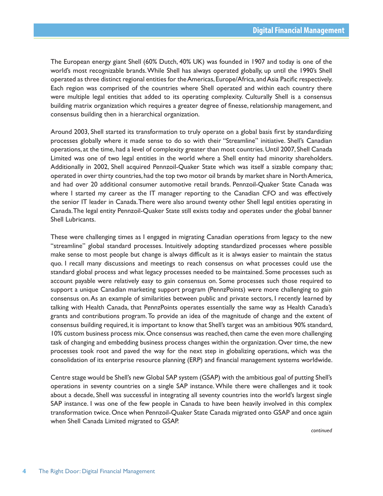The European energy giant Shell (60% Dutch, 40% UK) was founded in 1907 and today is one of the world's most recognizable brands. While Shell has always operated globally, up until the 1990's Shell operated as three distinct regional entities for the Americas, Europe/Africa, and Asia Pacific respectively. Each region was comprised of the countries where Shell operated and within each country there were multiple legal entities that added to its operating complexity. Culturally Shell is a consensus building matrix organization which requires a greater degree of finesse, relationship management, and consensus building then in a hierarchical organization.

Around 2003, Shell started its transformation to truly operate on a global basis first by standardizing processes globally where it made sense to do so with their "Streamline" initiative. Shell's Canadian operations, at the time, had a level of complexity greater than most countries. Until 2007, Shell Canada Limited was one of two legal entities in the world where a Shell entity had minority shareholders. Additionally in 2002, Shell acquired Pennzoil-Quaker State which was itself a sizable company that; operated in over thirty countries, had the top two motor oil brands by market share in North America, and had over 20 additional consumer automotive retail brands. Pennzoil-Quaker State Canada was where I started my career as the IT manager reporting to the Canadian CFO and was effectively the senior IT leader in Canada. There were also around twenty other Shell legal entities operating in Canada. The legal entity Pennzoil-Quaker State still exists today and operates under the global banner Shell Lubricants.

These were challenging times as I engaged in migrating Canadian operations from legacy to the new "streamline" global standard processes. Intuitively adopting standardized processes where possible make sense to most people but change is always difficult as it is always easier to maintain the status quo. I recall many discussions and meetings to reach consensus on what processes could use the standard global process and what legacy processes needed to be maintained. Some processes such as account payable were relatively easy to gain consensus on. Some processes such those required to support a unique Canadian marketing support program (PennzPoints) were more challenging to gain consensus on. As an example of similarities between public and private sectors, I recently learned by talking with Health Canada, that PennzPoints operates essentially the same way as Health Canada's grants and contributions program. To provide an idea of the magnitude of change and the extent of consensus building required, it is important to know that Shell's target was an ambitious 90% standard, 10% custom business process mix. Once consensus was reached, then came the even more challenging task of changing and embedding business process changes within the organization. Over time, the new processes took root and paved the way for the next step in globalizing operations, which was the consolidation of its enterprise resource planning (ERP) and financial management systems worldwide.

Centre stage would be Shell's new Global SAP system (GSAP) with the ambitious goal of putting Shell's operations in seventy countries on a single SAP instance. While there were challenges and it took about a decade, Shell was successful in integrating all seventy countries into the world's largest single SAP instance. I was one of the few people in Canada to have been heavily involved in this complex transformation twice. Once when Pennzoil-Quaker State Canada migrated onto GSAP and once again when Shell Canada Limited migrated to GSAP.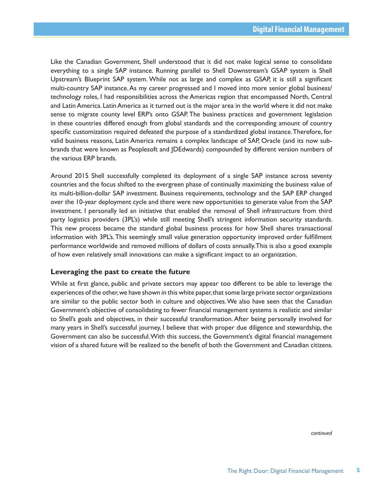Like the Canadian Government, Shell understood that it did not make logical sense to consolidate everything to a single SAP instance. Running parallel to Shell Downstream's GSAP system is Shell Upstream's Blueprint SAP system. While not as large and complex as GSAP, it is still a significant multi-country SAP instance. As my career progressed and I moved into more senior global business/ technology roles, I had responsibilities across the Americas region that encompassed North, Central and Latin America. Latin America as it turned out is the major area in the world where it did not make sense to migrate county level ERP's onto GSAP. The business practices and government legislation in these countries differed enough from global standards and the corresponding amount of country specific customization required defeated the purpose of a standardized global instance. Therefore, for valid business reasons, Latin America remains a complex landscape of SAP, Oracle (and its now subbrands that were known as Peoplesoft and JDEdwards) compounded by different version numbers of the various ERP brands.

Around 2015 Shell successfully completed its deployment of a single SAP instance across seventy countries and the focus shifted to the evergreen phase of continually maximizing the business value of its multi-billion-dollar SAP investment. Business requirements, technology and the SAP ERP changed over the 10-year deployment cycle and there were new opportunities to generate value from the SAP investment. I personally led an initiative that enabled the removal of Shell infrastructure from third party logistics providers (3PL's) while still meeting Shell's stringent information security standards. This new process became the standard global business process for how Shell shares transactional information with 3PL's. This seemingly small value generation opportunity improved order fulfillment performance worldwide and removed millions of dollars of costs annually. This is also a good example of how even relatively small innovations can make a significant impact to an organization.

#### **Leveraging the past to create the future**

While at first glance, public and private sectors may appear too different to be able to leverage the experiences of the other, we have shown in this white paper, that some large private sector organizations are similar to the public sector both in culture and objectives. We also have seen that the Canadian Government's objective of consolidating to fewer financial management systems is realistic and similar to Shell's goals and objectives, in their successful transformation. After being personally involved for many years in Shell's successful journey, I believe that with proper due diligence and stewardship, the Government can also be successful. With this success, the Government's digital financial management vision of a shared future will be realized to the benefit of both the Government and Canadian citizens.